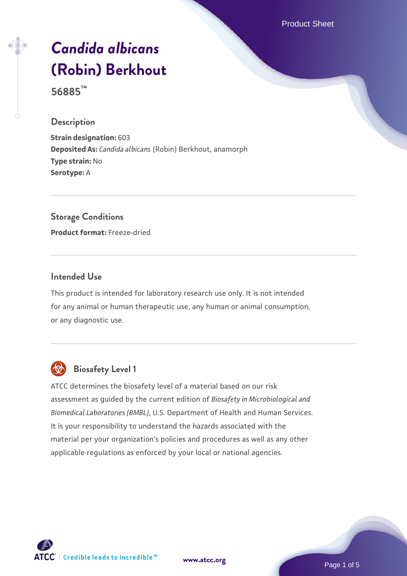Product Sheet

# *[Candida albicans](https://www.atcc.org/products/56885)* **[\(Robin\) Berkhout](https://www.atcc.org/products/56885)**

**56885™**

#### **Description**

**Strain designation:** 603 **Deposited As:** *Candida albicans* (Robin) Berkhout, anamorph **Type strain:** No **Serotype:** A

# **Storage Conditions**

**Product format:** Freeze-dried

### **Intended Use**

This product is intended for laboratory research use only. It is not intended for any animal or human therapeutic use, any human or animal consumption, or any diagnostic use.



# **Biosafety Level 1**

ATCC determines the biosafety level of a material based on our risk assessment as guided by the current edition of *Biosafety in Microbiological and Biomedical Laboratories (BMBL)*, U.S. Department of Health and Human Services. It is your responsibility to understand the hazards associated with the material per your organization's policies and procedures as well as any other applicable regulations as enforced by your local or national agencies.

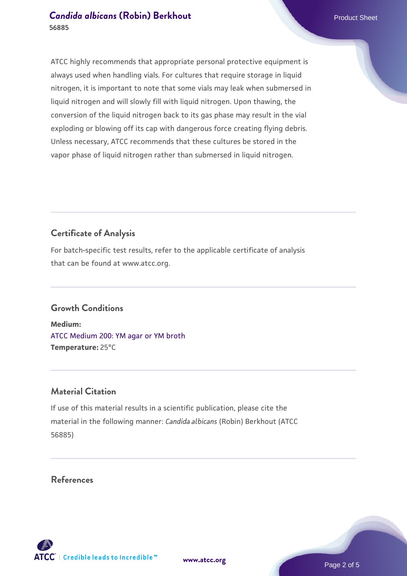#### **[Candida albicans](https://www.atcc.org/products/56885) [\(Robin\) Berkhout](https://www.atcc.org/products/56885) Candida albicans** (Robin) Berkhout **56885**

ATCC highly recommends that appropriate personal protective equipment is always used when handling vials. For cultures that require storage in liquid nitrogen, it is important to note that some vials may leak when submersed in liquid nitrogen and will slowly fill with liquid nitrogen. Upon thawing, the conversion of the liquid nitrogen back to its gas phase may result in the vial exploding or blowing off its cap with dangerous force creating flying debris. Unless necessary, ATCC recommends that these cultures be stored in the vapor phase of liquid nitrogen rather than submersed in liquid nitrogen.

# **Certificate of Analysis**

For batch-specific test results, refer to the applicable certificate of analysis that can be found at www.atcc.org.

# **Growth Conditions**

**Medium:**  [ATCC Medium 200: YM agar or YM broth](https://www.atcc.org/-/media/product-assets/documents/microbial-media-formulations/2/0/0/atcc-medium-200.pdf?rev=ac40fd74dc13433a809367b0b9da30fc) **Temperature:** 25°C

## **Material Citation**

If use of this material results in a scientific publication, please cite the material in the following manner: *Candida albicans* (Robin) Berkhout (ATCC 56885)

**[www.atcc.org](http://www.atcc.org)**

**References**





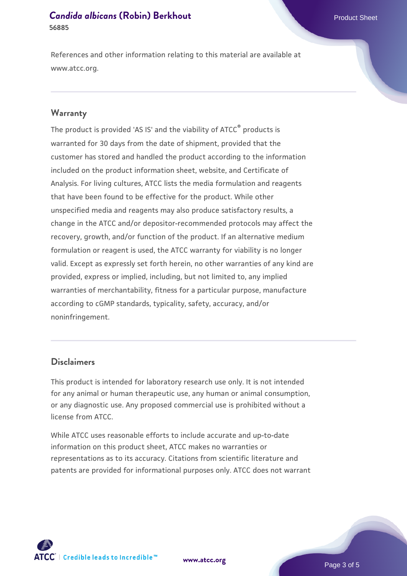#### **[Candida albicans](https://www.atcc.org/products/56885) [\(Robin\) Berkhout](https://www.atcc.org/products/56885) Candida albicans** (Robin) Berkhout **56885**

References and other information relating to this material are available at www.atcc.org.

#### **Warranty**

The product is provided 'AS IS' and the viability of ATCC® products is warranted for 30 days from the date of shipment, provided that the customer has stored and handled the product according to the information included on the product information sheet, website, and Certificate of Analysis. For living cultures, ATCC lists the media formulation and reagents that have been found to be effective for the product. While other unspecified media and reagents may also produce satisfactory results, a change in the ATCC and/or depositor-recommended protocols may affect the recovery, growth, and/or function of the product. If an alternative medium formulation or reagent is used, the ATCC warranty for viability is no longer valid. Except as expressly set forth herein, no other warranties of any kind are provided, express or implied, including, but not limited to, any implied warranties of merchantability, fitness for a particular purpose, manufacture according to cGMP standards, typicality, safety, accuracy, and/or noninfringement.

#### **Disclaimers**

This product is intended for laboratory research use only. It is not intended for any animal or human therapeutic use, any human or animal consumption, or any diagnostic use. Any proposed commercial use is prohibited without a license from ATCC.

While ATCC uses reasonable efforts to include accurate and up-to-date information on this product sheet, ATCC makes no warranties or representations as to its accuracy. Citations from scientific literature and patents are provided for informational purposes only. ATCC does not warrant





Page 3 of 5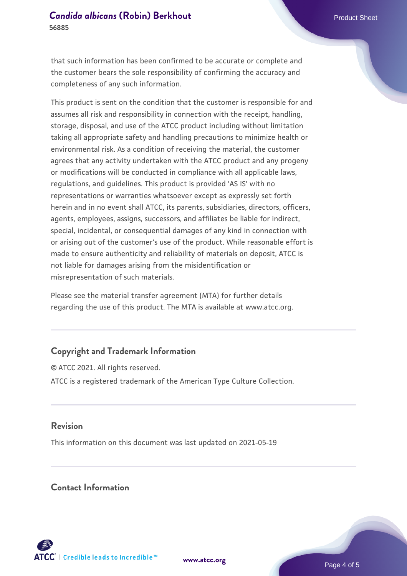#### **[Candida albicans](https://www.atcc.org/products/56885) [\(Robin\) Berkhout](https://www.atcc.org/products/56885) Candida albicans** (Robin) Berkhout **56885**

that such information has been confirmed to be accurate or complete and the customer bears the sole responsibility of confirming the accuracy and completeness of any such information.

This product is sent on the condition that the customer is responsible for and assumes all risk and responsibility in connection with the receipt, handling, storage, disposal, and use of the ATCC product including without limitation taking all appropriate safety and handling precautions to minimize health or environmental risk. As a condition of receiving the material, the customer agrees that any activity undertaken with the ATCC product and any progeny or modifications will be conducted in compliance with all applicable laws, regulations, and guidelines. This product is provided 'AS IS' with no representations or warranties whatsoever except as expressly set forth herein and in no event shall ATCC, its parents, subsidiaries, directors, officers, agents, employees, assigns, successors, and affiliates be liable for indirect, special, incidental, or consequential damages of any kind in connection with or arising out of the customer's use of the product. While reasonable effort is made to ensure authenticity and reliability of materials on deposit, ATCC is not liable for damages arising from the misidentification or misrepresentation of such materials.

Please see the material transfer agreement (MTA) for further details regarding the use of this product. The MTA is available at www.atcc.org.

## **Copyright and Trademark Information**

© ATCC 2021. All rights reserved. ATCC is a registered trademark of the American Type Culture Collection.

#### **Revision**

This information on this document was last updated on 2021-05-19

### **Contact Information**



**[www.atcc.org](http://www.atcc.org)**